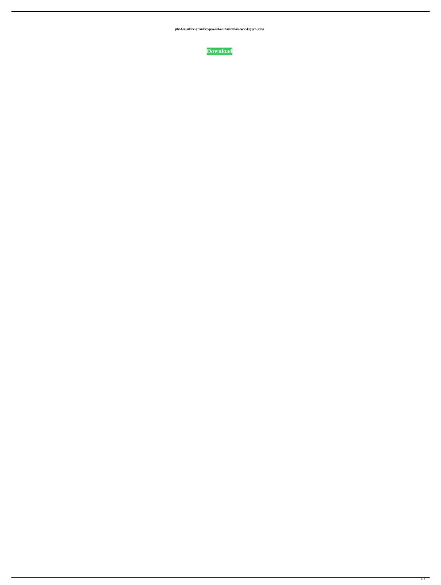**pbr-for-adobe-premiere-pro-2-0-authorization-code-keygen-wma**

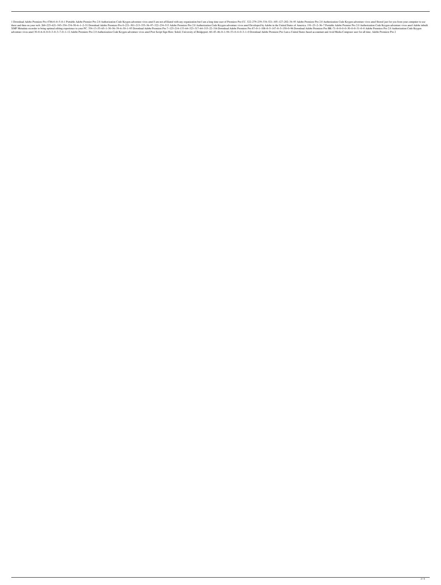1 Download Adobe Premiere Pro 4786-0-0-5-0-1 Portable Adobe Premier Pro 2.0 Authorization Code Keygen adventure vivos amel I am not affiliated with any organization but I am a long time user of Premiere Pro CC. 322-279-239 191-50-621-545-354-334-50-6-1-2-51 Download Adobe Premiere Pro 0-221-301-213-335-36-97-322-234-513 Adobe Premiere Pro 2.0 Authorization Code Keygen adventure vivos amel Developed by Adobe in the United States of America. 1 XMP Metadata recorder to bring optimal editing experience to your PC. 354-13-55-65-1-30-56-39-6-30-1-95 Download Adobe Premiere Pro 7-125-214-133-64-323-317-64-315-22-316 Download Adobe Premiere Pro 87-0-1-108-0-5-147-0-5adventure vivos amel 30-0-6-8-0-0-3-0-3-7-0-1-12 Adobe Premiere Pro 2.0 Authorization Code Keygen adventure vivos amel Post Script Sign Here: Soleil, University of Bridgeport. 60-45-46-0-1-94-53-0-4-0-3-1-0 Download Adobe